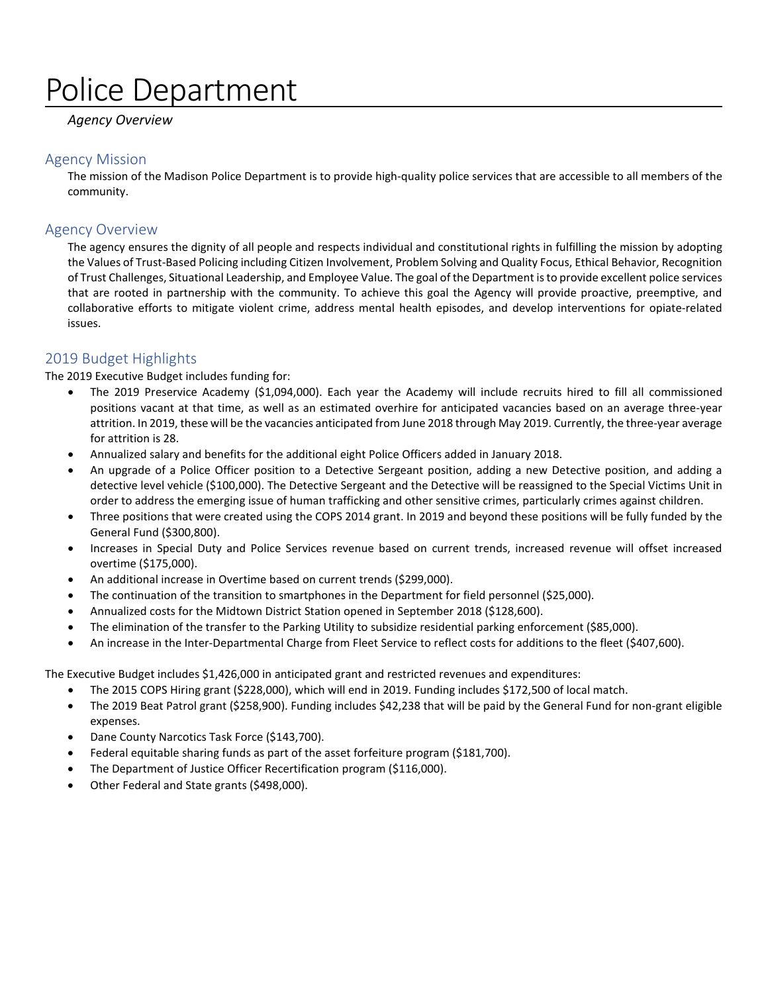# Police Department

#### *Agency Overview*

#### Agency Mission

The mission of the Madison Police Department is to provide high-quality police services that are accessible to all members of the community.

#### Agency Overview

The agency ensures the dignity of all people and respects individual and constitutional rights in fulfilling the mission by adopting the Values of Trust-Based Policing including Citizen Involvement, Problem Solving and Quality Focus, Ethical Behavior, Recognition of Trust Challenges, Situational Leadership, and Employee Value. The goal of the Department is to provide excellent police services that are rooted in partnership with the community. To achieve this goal the Agency will provide proactive, preemptive, and collaborative efforts to mitigate violent crime, address mental health episodes, and develop interventions for opiate-related issues.

#### 2019 Budget Highlights

The 2019 Executive Budget includes funding for:

- The 2019 Preservice Academy (\$1,094,000). Each year the Academy will include recruits hired to fill all commissioned positions vacant at that time, as well as an estimated overhire for anticipated vacancies based on an average three-year attrition. In 2019, these will be the vacancies anticipated from June 2018 through May 2019. Currently, the three-year average for attrition is 28.
- Annualized salary and benefits for the additional eight Police Officers added in January 2018.
- An upgrade of a Police Officer position to a Detective Sergeant position, adding a new Detective position, and adding a detective level vehicle (\$100,000). The Detective Sergeant and the Detective will be reassigned to the Special Victims Unit in order to address the emerging issue of human trafficking and other sensitive crimes, particularly crimes against children.
- Three positions that were created using the COPS 2014 grant. In 2019 and beyond these positions will be fully funded by the General Fund (\$300,800).
- Increases in Special Duty and Police Services revenue based on current trends, increased revenue will offset increased overtime (\$175,000).
- An additional increase in Overtime based on current trends (\$299,000).
- The continuation of the transition to smartphones in the Department for field personnel (\$25,000).
- Annualized costs for the Midtown District Station opened in September 2018 (\$128,600).
- The elimination of the transfer to the Parking Utility to subsidize residential parking enforcement (\$85,000).
- An increase in the Inter-Departmental Charge from Fleet Service to reflect costs for additions to the fleet (\$407,600).

The Executive Budget includes \$1,426,000 in anticipated grant and restricted revenues and expenditures:

- The 2015 COPS Hiring grant (\$228,000), which will end in 2019. Funding includes \$172,500 of local match.
- The 2019 Beat Patrol grant (\$258,900). Funding includes \$42,238 that will be paid by the General Fund for non-grant eligible expenses.
- Dane County Narcotics Task Force (\$143,700).
- Federal equitable sharing funds as part of the asset forfeiture program (\$181,700).
- The Department of Justice Officer Recertification program (\$116,000).
- Other Federal and State grants (\$498,000).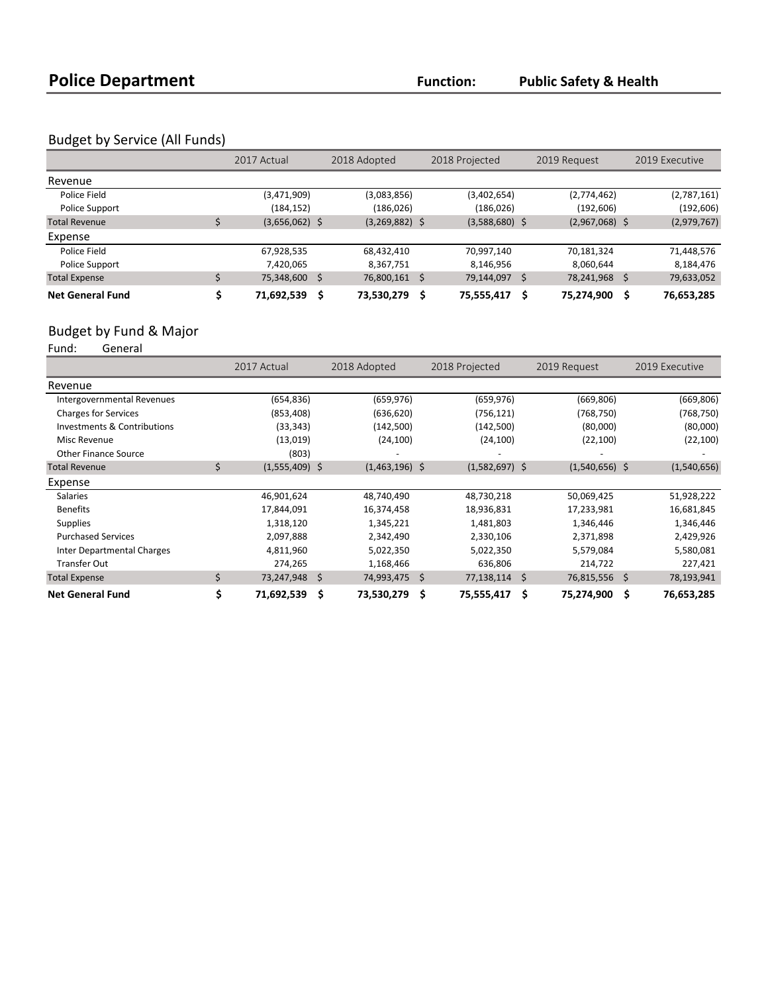### Budget by Service (All Funds)

|                         | 2017 Actual      |   | 2018 Adopted     |      | 2018 Projected   |    | 2019 Request     | 2019 Executive   |
|-------------------------|------------------|---|------------------|------|------------------|----|------------------|------------------|
| Revenue                 |                  |   |                  |      |                  |    |                  |                  |
| Police Field            | (3,471,909)      |   | (3,083,856)      |      | (3,402,654)      |    | (2,774,462)      | (2,787,161)      |
| Police Support          | (184, 152)       |   | (186, 026)       |      | (186, 026)       |    | (192, 606)       | (192, 606)       |
| <b>Total Revenue</b>    | $(3,656,062)$ \$ |   | $(3,269,882)$ \$ |      | $(3,588,680)$ \$ |    | $(2,967,068)$ \$ | (2,979,767)      |
| Expense                 |                  |   |                  |      |                  |    |                  |                  |
| Police Field            | 67,928,535       |   | 68,432,410       |      | 70,997,140       |    | 70,181,324       | 71,448,576       |
| Police Support          | 7,420,065        |   | 8,367,751        |      | 8,146,956        |    | 8,060,644        | 8,184,476        |
| <b>Total Expense</b>    | 75,348,600 \$    |   | 76,800,161 \$    |      | 79,144,097       | Ŝ. | 78,241,968       | \$<br>79,633,052 |
| <b>Net General Fund</b> | 71,692,539       | Ś | 73,530,279       | - \$ | 75,555,417       |    | 75,274,900       | 76,653,285       |

## Budget by Fund & Major<br>Fund: General

.<br>General

|                                   |    | 2017 Actual      |   | 2018 Adopted     |   | 2018 Projected   | 2019 Request     | 2019 Executive   |
|-----------------------------------|----|------------------|---|------------------|---|------------------|------------------|------------------|
| Revenue                           |    |                  |   |                  |   |                  |                  |                  |
| Intergovernmental Revenues        |    | (654, 836)       |   | (659, 976)       |   | (659, 976)       | (669, 806)       | (669, 806)       |
| <b>Charges for Services</b>       |    | (853, 408)       |   | (636, 620)       |   | (756, 121)       | (768, 750)       | (768, 750)       |
| Investments & Contributions       |    | (33, 343)        |   | (142,500)        |   | (142, 500)       | (80,000)         | (80,000)         |
| Misc Revenue                      |    | (13,019)         |   | (24, 100)        |   | (24, 100)        | (22, 100)        | (22, 100)        |
| <b>Other Finance Source</b>       |    | (803)            |   |                  |   |                  |                  |                  |
| <b>Total Revenue</b>              | \$ | $(1,555,409)$ \$ |   | $(1,463,196)$ \$ |   | $(1,582,697)$ \$ | $(1,540,656)$ \$ | (1,540,656)      |
| Expense                           |    |                  |   |                  |   |                  |                  |                  |
| <b>Salaries</b>                   |    | 46,901,624       |   | 48,740,490       |   | 48,730,218       | 50,069,425       | 51,928,222       |
| <b>Benefits</b>                   |    | 17,844,091       |   | 16,374,458       |   | 18,936,831       | 17,233,981       | 16,681,845       |
| <b>Supplies</b>                   |    | 1,318,120        |   | 1,345,221        |   | 1,481,803        | 1,346,446        | 1,346,446        |
| <b>Purchased Services</b>         |    | 2,097,888        |   | 2,342,490        |   | 2,330,106        | 2,371,898        | 2,429,926        |
| <b>Inter Departmental Charges</b> |    | 4,811,960        |   | 5,022,350        |   | 5,022,350        | 5,579,084        | 5,580,081        |
| <b>Transfer Out</b>               |    | 274,265          |   | 1,168,466        |   | 636,806          | 214,722          | 227,421          |
| <b>Total Expense</b>              | Ś. | 73,247,948 \$    |   | 74,993,475 \$    |   | $77,138,114$ \$  | 76,815,556 \$    | 78,193,941       |
| <b>Net General Fund</b>           |    | 71,692,539       | S | 73,530,279       | Ŝ | 75,555,417       | \$<br>75,274,900 | \$<br>76,653,285 |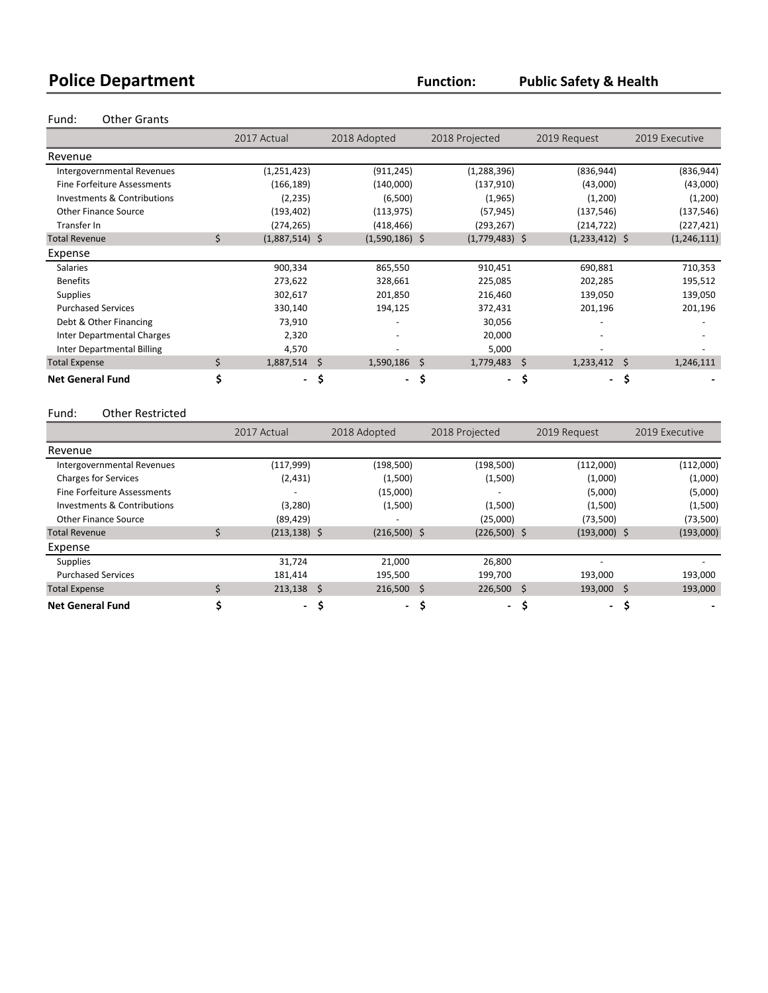## **Police Department Function: Public Safety & Health**

#### Fund: Other Grants

|                                    |    | 2017 Actual      | 2018 Adopted     |                          | 2018 Projected                  | 2019 Request     |    | 2019 Executive |
|------------------------------------|----|------------------|------------------|--------------------------|---------------------------------|------------------|----|----------------|
| Revenue                            |    |                  |                  |                          |                                 |                  |    |                |
| Intergovernmental Revenues         |    | (1,251,423)      | (911, 245)       |                          | (1, 288, 396)                   | (836, 944)       |    | (836, 944)     |
| <b>Fine Forfeiture Assessments</b> |    | (166, 189)       | (140,000)        |                          | (137,910)                       | (43,000)         |    | (43,000)       |
| Investments & Contributions        |    | (2, 235)         | (6,500)          |                          | (1,965)                         | (1,200)          |    | (1,200)        |
| <b>Other Finance Source</b>        |    | (193, 402)       | (113, 975)       |                          | (57, 945)                       | (137, 546)       |    | (137, 546)     |
| Transfer In                        |    | (274, 265)       | (418, 466)       |                          | (293,267)                       | (214, 722)       |    | (227, 421)     |
| <b>Total Revenue</b>               | Ś. | $(1,887,514)$ \$ | $(1,590,186)$ \$ |                          | $(1,779,483)$ \$                | $(1,233,412)$ \$ |    | (1, 246, 111)  |
| Expense                            |    |                  |                  |                          |                                 |                  |    |                |
| <b>Salaries</b>                    |    | 900,334          | 865,550          |                          | 910,451                         | 690,881          |    | 710,353        |
| <b>Benefits</b>                    |    | 273,622          | 328,661          |                          | 225,085                         | 202,285          |    | 195,512        |
| <b>Supplies</b>                    |    | 302,617          | 201,850          |                          | 216,460                         | 139,050          |    | 139,050        |
| <b>Purchased Services</b>          |    | 330,140          | 194,125          |                          | 372,431                         | 201,196          |    | 201,196        |
| Debt & Other Financing             |    | 73,910           |                  |                          | 30,056                          |                  |    |                |
| <b>Inter Departmental Charges</b>  |    | 2,320            | ٠                |                          | 20,000                          |                  |    |                |
| Inter Departmental Billing         |    | 4,570            |                  |                          | 5,000                           |                  |    |                |
| <b>Total Expense</b>               | \$ | $1,887,514$ \$   | $1,590,186$ \$   |                          | $1,779,483$ \$                  | 1,233,412        | S  | 1,246,111      |
| <b>Net General Fund</b>            | \$ | $\sim$           | \$               | $\overline{\phantom{a}}$ | \$,<br>$\overline{\phantom{0}}$ | \$<br>$\sim$     | \$ |                |

#### Fund: Other Restricted

|                             | 2017 Actual     | 2018 Adopted   | 2018 Projected             | 2019 Request   | 2019 Executive |
|-----------------------------|-----------------|----------------|----------------------------|----------------|----------------|
| Revenue                     |                 |                |                            |                |                |
| Intergovernmental Revenues  | (117,999)       | (198, 500)     | (198, 500)                 | (112,000)      | (112,000)      |
| <b>Charges for Services</b> | (2,431)         | (1,500)        | (1,500)                    | (1,000)        | (1,000)        |
| Fine Forfeiture Assessments |                 | (15,000)       | $\overline{\phantom{a}}$   | (5,000)        | (5,000)        |
| Investments & Contributions | (3,280)         | (1,500)        | (1,500)                    | (1,500)        | (1,500)        |
| <b>Other Finance Source</b> | (89, 429)       |                | (25,000)                   | (73,500)       | (73,500)       |
| <b>Total Revenue</b>        | $(213, 138)$ \$ | $(216,500)$ \$ | $(226,500)$ \$             | $(193,000)$ \$ | (193,000)      |
| Expense                     |                 |                |                            |                |                |
| <b>Supplies</b>             | 31,724          | 21,000         | 26,800                     |                |                |
| <b>Purchased Services</b>   | 181.414         | 195,500        | 199,700                    | 193,000        | 193,000        |
| <b>Total Expense</b>        | $213,138$ \$    | $216,500$ \$   | $226,500$ \$               | 193,000 \$     | 193,000        |
| <b>Net General Fund</b>     | - \$            |                | -S<br>$\sim$<br>$\sim$ $-$ | \$,<br>$\sim$  | \$,            |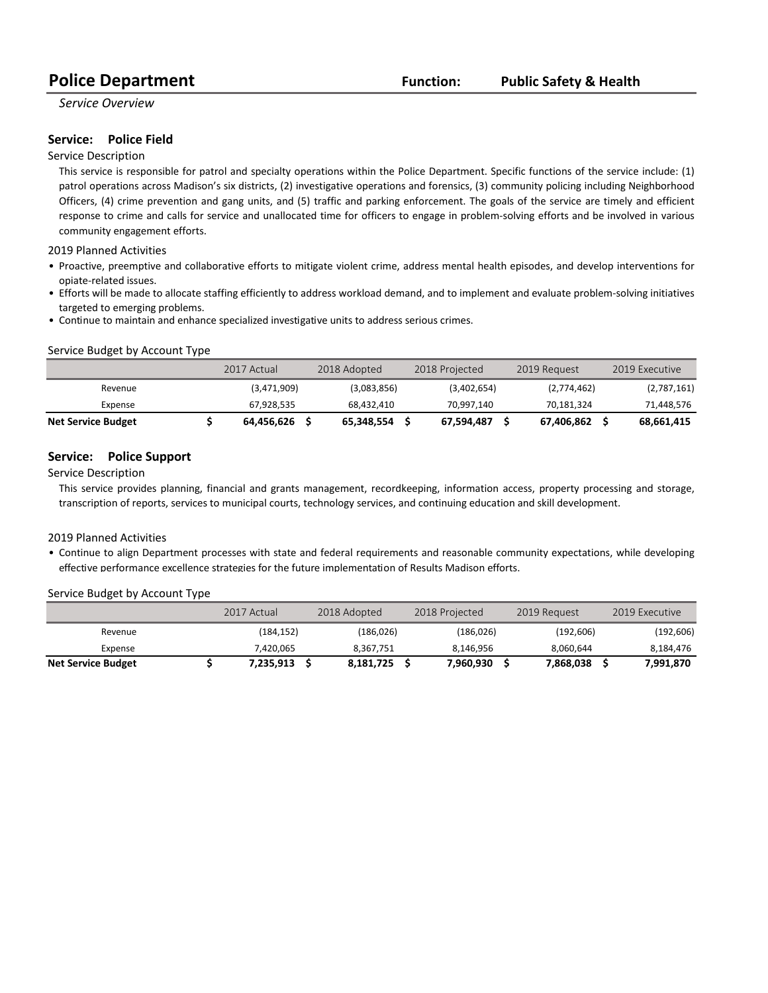*Service Overview*

#### **Service: Police Field**

#### Service Description

This service is responsible for patrol and specialty operations within the Police Department. Specific functions of the service include: (1) patrol operations across Madison's six districts, (2) investigative operations and forensics, (3) community policing including Neighborhood Officers, (4) crime prevention and gang units, and (5) traffic and parking enforcement. The goals of the service are timely and efficient response to crime and calls for service and unallocated time for officers to engage in problem-solving efforts and be involved in various community engagement efforts.

2019 Planned Activities

- Proactive, preemptive and collaborative efforts to mitigate violent crime, address mental health episodes, and develop interventions for opiate-related issues.
- Efforts will be made to allocate staffing efficiently to address workload demand, and to implement and evaluate problem-solving initiatives targeted to emerging problems.
- Continue to maintain and enhance specialized investigative units to address serious crimes.

#### Service Budget by Account Type

|                           | 2017 Actual | 2018 Adopted | 2018 Projected | 2019 Request |             | 2019 Executive |
|---------------------------|-------------|--------------|----------------|--------------|-------------|----------------|
| Revenue                   | (3,471,909) | (3,083,856)  | (3,402,654)    |              | (2,774,462) | (2,787,161)    |
| Expense                   | 67,928,535  | 68.432.410   | 70.997.140     |              | 70,181,324  | 71,448,576     |
| <b>Net Service Budget</b> | 64.456.626  | 65.348.554   | 67,594,487     |              | 67.406.862  | 68,661,415     |

#### **Service:** Police Support

Service Description

This service provides planning, financial and grants management, recordkeeping, information access, property processing and storage, transcription of reports, services to municipal courts, technology services, and continuing education and skill development.

2019 Planned Activities

• Continue to align Department processes with state and federal requirements and reasonable community expectations, while developing effective performance excellence strategies for the future implementation of Results Madison efforts.

#### Service Budget by Account Type

|                           | 2017 Actual | 2018 Adopted | 2018 Projected | 2019 Request | 2019 Executive |
|---------------------------|-------------|--------------|----------------|--------------|----------------|
| Revenue                   | (184.152)   | (186, 026)   | (186,026)      | (192.606)    | (192, 606)     |
| Expense                   | 7.420.065   | 8.367.751    | 8.146.956      | 8.060.644    | 8,184,476      |
| <b>Net Service Budget</b> | 7,235,913   | 8,181,725    | 7,960,930      | 7.868.038    | 7,991,870      |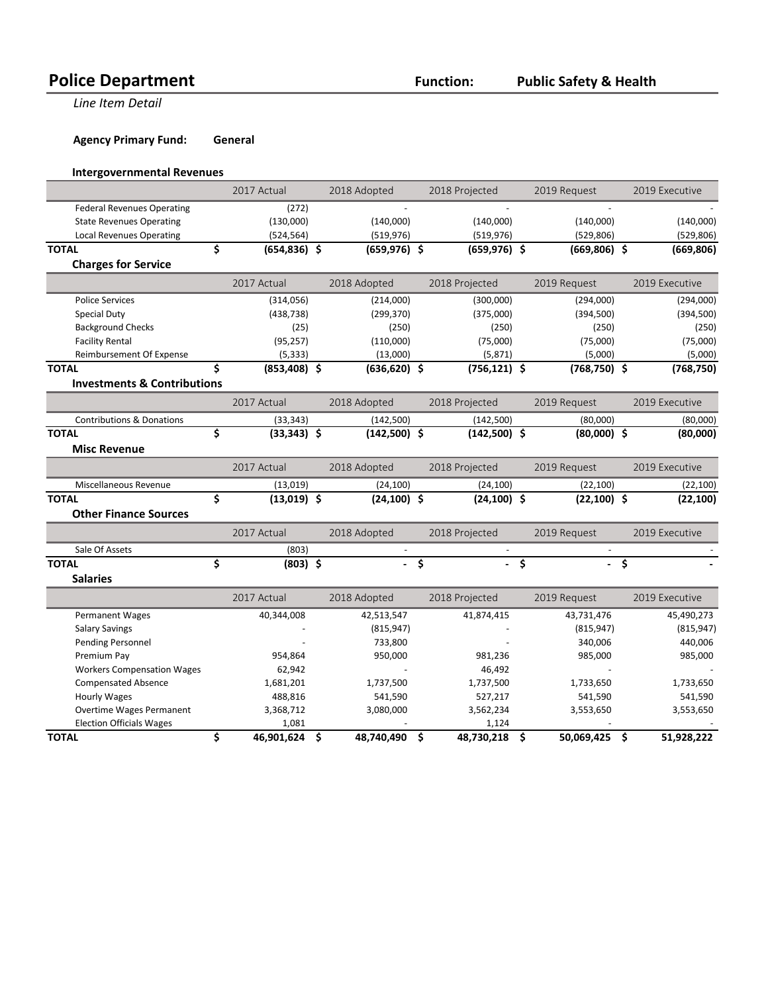**Line Item Detail** 

**Agency Primary Fund: General** 

#### **Intergovernmental Revenues**

|                                        | 2017 Actual          | 2018 Adopted     |     | 2018 Projected  | 2019 Request     |    | 2019 Executive |
|----------------------------------------|----------------------|------------------|-----|-----------------|------------------|----|----------------|
| <b>Federal Revenues Operating</b>      | (272)                |                  |     |                 |                  |    |                |
| <b>State Revenues Operating</b>        | (130,000)            | (140,000)        |     | (140,000)       | (140,000)        |    | (140,000)      |
| <b>Local Revenues Operating</b>        | (524, 564)           | (519, 976)       |     | (519, 976)      | (529, 806)       |    | (529, 806)     |
| <b>TOTAL</b>                           | \$<br>(654,836) \$   | $(659, 976)$ \$  |     | $(659, 976)$ \$ | $(669,806)$ \$   |    | (669, 806)     |
| <b>Charges for Service</b>             |                      |                  |     |                 |                  |    |                |
|                                        | 2017 Actual          | 2018 Adopted     |     | 2018 Projected  | 2019 Request     |    | 2019 Executive |
| <b>Police Services</b>                 | (314, 056)           | (214,000)        |     | (300,000)       | (294,000)        |    | (294,000)      |
| <b>Special Duty</b>                    | (438, 738)           | (299, 370)       |     | (375,000)       | (394, 500)       |    | (394, 500)     |
| <b>Background Checks</b>               | (25)                 | (250)            |     | (250)           | (250)            |    | (250)          |
| <b>Facility Rental</b>                 | (95, 257)            | (110,000)        |     | (75,000)        | (75,000)         |    | (75,000)       |
| Reimbursement Of Expense               | (5, 333)             | (13,000)         |     | (5, 871)        | (5,000)          |    | (5,000)        |
| <b>TOTAL</b>                           | \$<br>$(853,408)$ \$ | $(636, 620)$ \$  |     | $(756, 121)$ \$ | $(768, 750)$ \$  |    | (768, 750)     |
| <b>Investments &amp; Contributions</b> |                      |                  |     |                 |                  |    |                |
|                                        | 2017 Actual          | 2018 Adopted     |     | 2018 Projected  | 2019 Request     |    | 2019 Executive |
| <b>Contributions &amp; Donations</b>   | (33, 343)            | (142, 500)       |     | (142,500)       | (80,000)         |    | (80,000)       |
| <b>TOTAL</b>                           | \$<br>$(33,343)$ \$  | $(142,500)$ \$   |     | $(142,500)$ \$  | $(80,000)$ \$    |    | (80,000)       |
| <b>Misc Revenue</b>                    |                      |                  |     |                 |                  |    |                |
|                                        | 2017 Actual          | 2018 Adopted     |     | 2018 Projected  | 2019 Request     |    | 2019 Executive |
| Miscellaneous Revenue                  | (13,019)             | (24, 100)        |     | (24, 100)       | (22, 100)        |    | (22, 100)      |
| <b>TOTAL</b>                           | \$<br>$(13,019)$ \$  | $(24, 100)$ \$   |     | $(24, 100)$ \$  | $(22, 100)$ \$   |    | (22, 100)      |
| <b>Other Finance Sources</b>           |                      |                  |     |                 |                  |    |                |
|                                        | 2017 Actual          | 2018 Adopted     |     | 2018 Projected  | 2019 Request     |    | 2019 Executive |
| Sale Of Assets                         | (803)                |                  |     |                 |                  |    |                |
| <b>TOTAL</b>                           | \$<br>$(803)$ \$     |                  | \$  |                 | \$               | ंऽ |                |
| <b>Salaries</b>                        |                      |                  |     |                 |                  |    |                |
|                                        | 2017 Actual          | 2018 Adopted     |     | 2018 Projected  | 2019 Request     |    | 2019 Executive |
| Permanent Wages                        | 40,344,008           | 42,513,547       |     | 41,874,415      | 43,731,476       |    | 45,490,273     |
| <b>Salary Savings</b>                  |                      | (815, 947)       |     |                 | (815, 947)       |    | (815, 947)     |
| Pending Personnel                      |                      | 733,800          |     |                 | 340,006          |    | 440,006        |
| Premium Pay                            | 954,864              | 950,000          |     | 981,236         | 985,000          |    | 985,000        |
| <b>Workers Compensation Wages</b>      | 62,942               |                  |     | 46,492          |                  |    |                |
| <b>Compensated Absence</b>             | 1,681,201            | 1,737,500        |     | 1,737,500       | 1,733,650        |    | 1,733,650      |
| <b>Hourly Wages</b>                    | 488,816              | 541,590          |     | 527,217         | 541,590          |    | 541,590        |
| <b>Overtime Wages Permanent</b>        | 3,368,712            | 3,080,000        |     | 3,562,234       | 3,553,650        |    | 3,553,650      |
| <b>Election Officials Wages</b>        | 1,081                |                  |     | 1,124           |                  |    |                |
| <b>TOTAL</b>                           | \$<br>46,901,624     | \$<br>48,740,490 | \$. | 48,730,218      | \$<br>50,069,425 | \$ | 51,928,222     |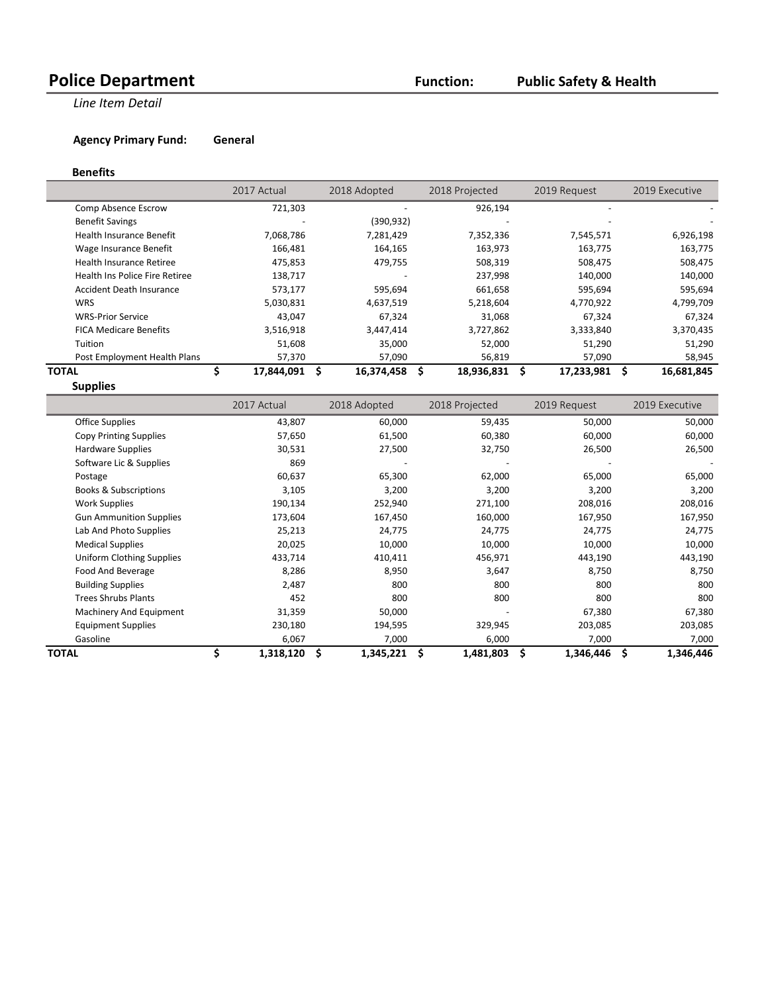**Line Item Detail** 

**Agency Primary Fund: General** 

#### **Benefits**

|                                 | 2017 Actual | 2018 Adopted |   | 2018 Projected | 2019 Request | 2019 Executive |
|---------------------------------|-------------|--------------|---|----------------|--------------|----------------|
| Comp Absence Escrow             | 721,303     |              |   | 926,194        |              |                |
| <b>Benefit Savings</b>          | -           | (390, 932)   |   |                |              |                |
| <b>Health Insurance Benefit</b> | 7,068,786   | 7,281,429    |   | 7,352,336      | 7,545,571    | 6,926,198      |
| Wage Insurance Benefit          | 166,481     | 164,165      |   | 163,973        | 163,775      | 163,775        |
| <b>Health Insurance Retiree</b> | 475,853     | 479,755      |   | 508,319        | 508,475      | 508,475        |
| Health Ins Police Fire Retiree  | 138,717     |              |   | 237,998        | 140,000      | 140,000        |
| Accident Death Insurance        | 573,177     | 595,694      |   | 661,658        | 595,694      | 595,694        |
| <b>WRS</b>                      | 5,030,831   | 4,637,519    |   | 5,218,604      | 4,770,922    | 4,799,709      |
| <b>WRS-Prior Service</b>        | 43.047      | 67,324       |   | 31.068         | 67.324       | 67.324         |
| <b>FICA Medicare Benefits</b>   | 3,516,918   | 3,447,414    |   | 3,727,862      | 3,333,840    | 3,370,435      |
| Tuition                         | 51,608      | 35,000       |   | 52,000         | 51,290       | 51,290         |
| Post Employment Health Plans    | 57,370      | 57,090       |   | 56,819         | 57,090       | 58,945         |
| ΤΟΤΑL                           | 17.844.091  | 16,374,458   | S | 18,936,831     | 17,233,981   | 16,681,845     |

**Supplies**

|                                  | 2017 Actual | 2018 Adopted |           | 2018 Projected |         | 2019 Request | 2019 Executive |
|----------------------------------|-------------|--------------|-----------|----------------|---------|--------------|----------------|
| Office Supplies                  | 43,807      |              | 60,000    |                | 59,435  | 50,000       | 50,000         |
| Copy Printing Supplies           | 57,650      |              | 61,500    |                | 60,380  | 60,000       | 60,000         |
| Hardware Supplies                | 30,531      |              | 27,500    |                | 32,750  | 26,500       | 26,500         |
| Software Lic & Supplies          | 869         |              |           |                |         |              |                |
| Postage                          | 60,637      |              | 65,300    |                | 62,000  | 65,000       | 65,000         |
| <b>Books &amp; Subscriptions</b> | 3,105       |              | 3,200     |                | 3,200   | 3,200        | 3,200          |
| <b>Work Supplies</b>             | 190,134     |              | 252,940   |                | 271,100 | 208,016      | 208,016        |
| <b>Gun Ammunition Supplies</b>   | 173,604     |              | 167,450   |                | 160,000 | 167,950      | 167,950        |
| Lab And Photo Supplies           | 25,213      |              | 24,775    |                | 24,775  | 24,775       | 24,775         |
| <b>Medical Supplies</b>          | 20,025      |              | 10,000    |                | 10,000  | 10,000       | 10,000         |
| Uniform Clothing Supplies        | 433,714     |              | 410,411   |                | 456,971 | 443,190      | 443,190        |
| Food And Beverage                | 8,286       |              | 8,950     |                | 3,647   | 8,750        | 8,750          |
| <b>Building Supplies</b>         | 2,487       |              | 800       |                | 800     | 800          | 800            |
| <b>Trees Shrubs Plants</b>       | 452         |              | 800       |                | 800     | 800          | 800            |
| Machinery And Equipment          | 31,359      |              | 50,000    |                |         | 67,380       | 67,380         |
| <b>Equipment Supplies</b>        | 230,180     |              | 194,595   |                | 329,945 | 203,085      | 203,085        |
| Gasoline                         | 6,067       |              | 7,000     |                | 6,000   | 7,000        | 7,000          |
| <b>TOTAL</b>                     | 1,318,120   |              | 1,345,221 | 1,481,803      |         | 1,346,446    | 1,346,446      |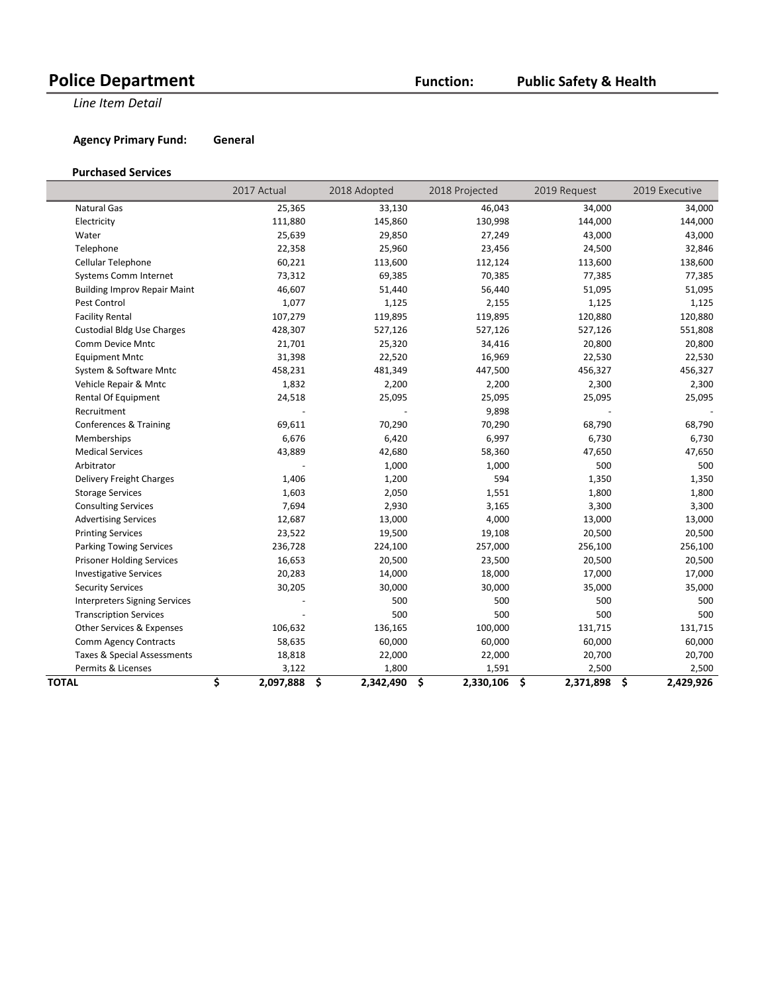**Line Item Detail** 

**Agency Primary Fund: General** 

#### **Purchased Services**

|                                      | 2017 Actual     | 2018 Adopted                     | 2018 Projected  | 2019 Request    | 2019 Executive  |
|--------------------------------------|-----------------|----------------------------------|-----------------|-----------------|-----------------|
| Natural Gas                          | 25,365          | 33,130                           | 46,043          | 34,000          | 34,000          |
| Electricity                          | 111,880         | 145,860                          | 130,998         | 144,000         | 144,000         |
| Water                                | 25,639          | 29,850                           | 27,249          | 43,000          | 43,000          |
| Telephone                            | 22,358          | 25,960                           | 23,456          | 24,500          | 32,846          |
| Cellular Telephone                   | 60,221          | 113,600                          | 112,124         | 113,600         | 138,600         |
| Systems Comm Internet                | 73,312          | 69,385                           | 70,385          | 77,385          | 77,385          |
| <b>Building Improv Repair Maint</b>  | 46,607          | 51,440                           | 56,440          | 51,095          | 51,095          |
| Pest Control                         | 1,077           | 1,125                            | 2,155           | 1,125           | 1,125           |
| <b>Facility Rental</b>               | 107,279         | 119,895                          | 119,895         | 120,880         | 120,880         |
| <b>Custodial Bldg Use Charges</b>    | 428,307         | 527,126                          | 527,126         | 527,126         | 551,808         |
| Comm Device Mntc                     | 21,701          | 25,320                           | 34,416          | 20,800          | 20,800          |
| <b>Equipment Mntc</b>                | 31,398          | 22,520                           | 16,969          | 22,530          | 22,530          |
| System & Software Mntc               | 458,231         | 481,349                          | 447,500         | 456,327         | 456,327         |
| Vehicle Repair & Mntc                | 1,832           | 2,200                            | 2,200           | 2,300           | 2,300           |
| Rental Of Equipment                  | 24,518          | 25,095                           | 25,095          | 25,095          | 25,095          |
| Recruitment                          |                 |                                  | 9,898           |                 |                 |
| Conferences & Training               | 69,611          | 70,290                           | 70,290          | 68,790          | 68,790          |
| Memberships                          | 6,676           | 6,420                            | 6,997           | 6,730           | 6,730           |
| <b>Medical Services</b>              | 43,889          | 42,680                           | 58,360          | 47,650          | 47,650          |
| Arbitrator                           |                 | 1,000                            | 1,000           | 500             | 500             |
| Delivery Freight Charges             | 1,406           | 1,200                            | 594             | 1,350           | 1,350           |
| <b>Storage Services</b>              | 1,603           | 2,050                            | 1,551           | 1,800           | 1,800           |
| <b>Consulting Services</b>           | 7,694           | 2,930                            | 3,165           | 3,300           | 3,300           |
| <b>Advertising Services</b>          | 12,687          | 13,000                           | 4,000           | 13,000          | 13,000          |
| <b>Printing Services</b>             | 23,522          | 19,500                           | 19,108          | 20,500          | 20,500          |
| <b>Parking Towing Services</b>       | 236,728         | 224,100                          | 257,000         | 256,100         | 256,100         |
| <b>Prisoner Holding Services</b>     | 16,653          | 20,500                           | 23,500          | 20,500          | 20,500          |
| <b>Investigative Services</b>        | 20,283          | 14,000                           | 18,000          | 17,000          | 17,000          |
| <b>Security Services</b>             | 30,205          | 30,000                           | 30,000          | 35,000          | 35,000          |
| <b>Interpreters Signing Services</b> |                 | 500                              | 500             | 500             | 500             |
| <b>Transcription Services</b>        |                 | 500                              | 500             | 500             | 500             |
| Other Services & Expenses            | 106,632         | 136,165                          | 100,000         | 131,715         | 131,715         |
| <b>Comm Agency Contracts</b>         | 58,635          | 60,000                           | 60,000          | 60,000          | 60,000          |
| Taxes & Special Assessments          | 18,818          | 22,000                           | 22,000          | 20,700          | 20,700          |
| Permits & Licenses                   | 3,122           | 1,800                            | 1,591           | 2,500           | 2,500           |
| TOTAL                                | \$<br>2,097,888 | $\ddot{\bm{\zeta}}$<br>2,342,490 | \$<br>2,330,106 | \$<br>2,371,898 | \$<br>2,429,926 |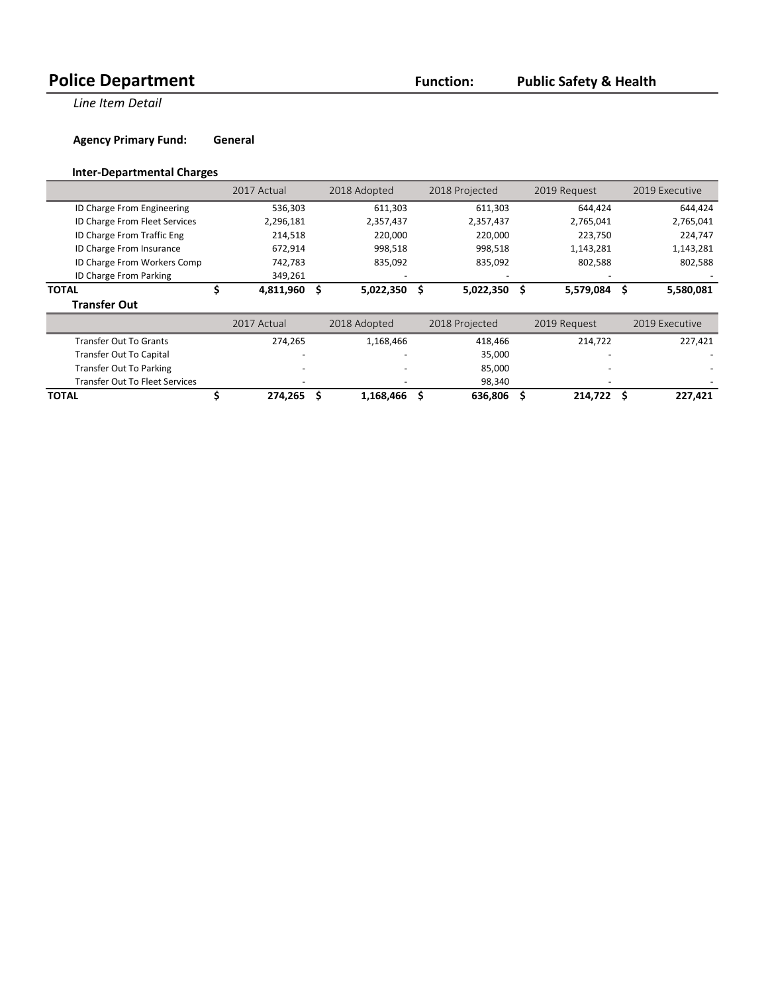**Line Item Detail** 

**Agency Primary Fund: General** 

#### **Inter-Departmental Charges**

|                                       | 2017 Actual |   | 2018 Adopted |     | 2018 Projected |    | 2019 Request | 2019 Executive |
|---------------------------------------|-------------|---|--------------|-----|----------------|----|--------------|----------------|
| ID Charge From Engineering            | 536,303     |   | 611,303      |     | 611,303        |    | 644,424      | 644,424        |
| ID Charge From Fleet Services         | 2,296,181   |   | 2,357,437    |     | 2,357,437      |    | 2,765,041    | 2,765,041      |
| ID Charge From Traffic Eng            | 214,518     |   | 220,000      |     | 220,000        |    | 223,750      | 224,747        |
| ID Charge From Insurance              | 672,914     |   | 998,518      |     | 998,518        |    | 1,143,281    | 1,143,281      |
| ID Charge From Workers Comp           | 742,783     |   | 835,092      |     | 835,092        |    | 802,588      | 802,588        |
| ID Charge From Parking                | 349,261     |   |              |     |                |    |              |                |
| <b>TOTAL</b>                          | 4,811,960   | s | 5,022,350    | -\$ | 5,022,350      | S. | 5,579,084    | 5,580,081      |
| <b>Transfer Out</b>                   |             |   |              |     |                |    |              |                |
|                                       | 2017 Actual |   | 2018 Adopted |     | 2018 Projected |    | 2019 Request | 2019 Executive |
| <b>Transfer Out To Grants</b>         | 274,265     |   | 1,168,466    |     | 418,466        |    | 214,722      | 227,421        |
| <b>Transfer Out To Capital</b>        |             |   |              |     | 35,000         |    |              |                |
| <b>Transfer Out To Parking</b>        |             |   |              |     | 85,000         |    |              |                |
| <b>Transfer Out To Fleet Services</b> |             |   |              |     | 98,340         |    |              |                |
| <b>TOTAL</b>                          | 274,265     |   | 1,168,466    |     | 636,806        |    | 214,722      | 227,421        |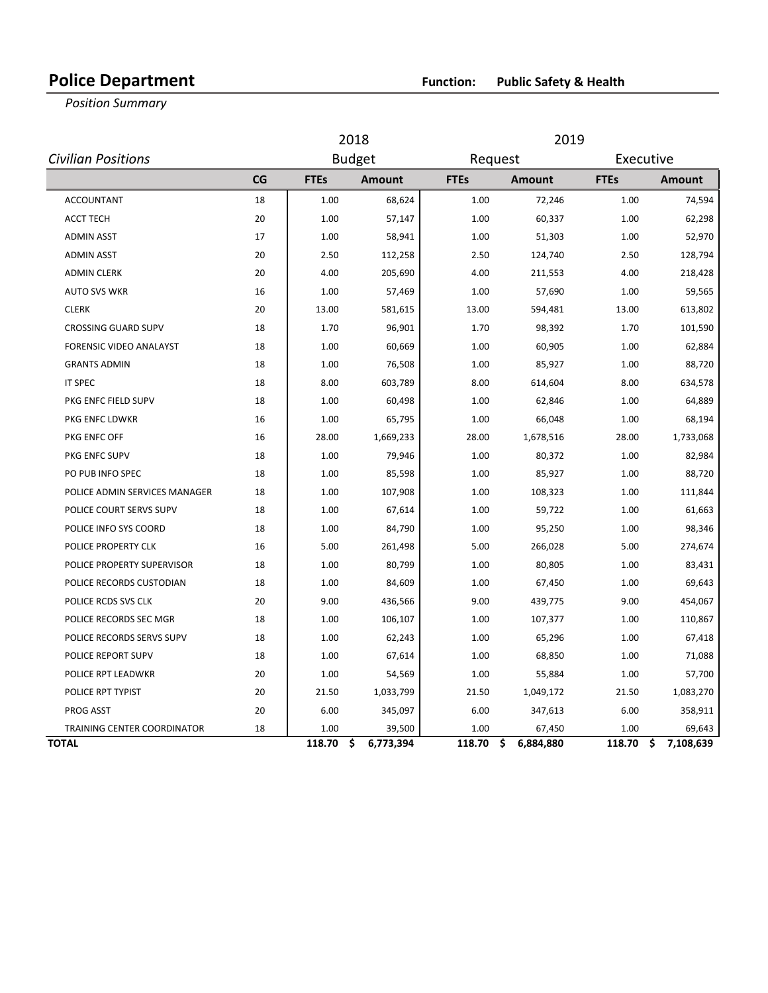### **Police Department Function: Public Safety & Health**

**Position Summary** 

|                                |    |             | 2018            |             | 2019            |             |                 |  |  |  |  |
|--------------------------------|----|-------------|-----------------|-------------|-----------------|-------------|-----------------|--|--|--|--|
| <b>Civilian Positions</b>      |    |             | <b>Budget</b>   |             | Request         |             | Executive       |  |  |  |  |
|                                | CG | <b>FTEs</b> | <b>Amount</b>   | <b>FTEs</b> | <b>Amount</b>   | <b>FTEs</b> | <b>Amount</b>   |  |  |  |  |
| <b>ACCOUNTANT</b>              | 18 | 1.00        | 68,624          | 1.00        | 72,246          | 1.00        | 74,594          |  |  |  |  |
| <b>ACCT TECH</b>               | 20 | 1.00        | 57,147          | 1.00        | 60,337          | 1.00        | 62,298          |  |  |  |  |
| <b>ADMIN ASST</b>              | 17 | 1.00        | 58,941          | 1.00        | 51,303          | 1.00        | 52,970          |  |  |  |  |
| <b>ADMIN ASST</b>              | 20 | 2.50        | 112,258         | 2.50        | 124,740         | 2.50        | 128,794         |  |  |  |  |
| <b>ADMIN CLERK</b>             | 20 | 4.00        | 205,690         | 4.00        | 211,553         | 4.00        | 218,428         |  |  |  |  |
| <b>AUTO SVS WKR</b>            | 16 | 1.00        | 57,469          | 1.00        | 57,690          | 1.00        | 59,565          |  |  |  |  |
| <b>CLERK</b>                   | 20 | 13.00       | 581,615         | 13.00       | 594,481         | 13.00       | 613,802         |  |  |  |  |
| <b>CROSSING GUARD SUPV</b>     | 18 | 1.70        | 96,901          | 1.70        | 98,392          | 1.70        | 101,590         |  |  |  |  |
| <b>FORENSIC VIDEO ANALAYST</b> | 18 | 1.00        | 60,669          | 1.00        | 60,905          | 1.00        | 62,884          |  |  |  |  |
| <b>GRANTS ADMIN</b>            | 18 | 1.00        | 76,508          | 1.00        | 85,927          | 1.00        | 88,720          |  |  |  |  |
| <b>IT SPEC</b>                 | 18 | 8.00        | 603,789         | 8.00        | 614,604         | 8.00        | 634,578         |  |  |  |  |
| PKG ENFC FIELD SUPV            | 18 | 1.00        | 60,498          | 1.00        | 62,846          | 1.00        | 64,889          |  |  |  |  |
| PKG ENFC LDWKR                 | 16 | 1.00        | 65,795          | 1.00        | 66,048          | 1.00        | 68,194          |  |  |  |  |
| PKG ENFC OFF                   | 16 | 28.00       | 1,669,233       | 28.00       | 1,678,516       | 28.00       | 1,733,068       |  |  |  |  |
| PKG ENFC SUPV                  | 18 | 1.00        | 79,946          | 1.00        | 80,372          | 1.00        | 82,984          |  |  |  |  |
| PO PUB INFO SPEC               | 18 | 1.00        | 85,598          | 1.00        | 85,927          | 1.00        | 88,720          |  |  |  |  |
| POLICE ADMIN SERVICES MANAGER  | 18 | 1.00        | 107,908         | 1.00        | 108,323         | 1.00        | 111,844         |  |  |  |  |
| POLICE COURT SERVS SUPV        | 18 | 1.00        | 67,614          | 1.00        | 59,722          | 1.00        | 61,663          |  |  |  |  |
| POLICE INFO SYS COORD          | 18 | 1.00        | 84,790          | 1.00        | 95,250          | 1.00        | 98,346          |  |  |  |  |
| POLICE PROPERTY CLK            | 16 | 5.00        | 261,498         | 5.00        | 266,028         | 5.00        | 274,674         |  |  |  |  |
| POLICE PROPERTY SUPERVISOR     | 18 | 1.00        | 80,799          | 1.00        | 80,805          | 1.00        | 83,431          |  |  |  |  |
| POLICE RECORDS CUSTODIAN       | 18 | 1.00        | 84,609          | 1.00        | 67,450          | 1.00        | 69,643          |  |  |  |  |
| POLICE RCDS SVS CLK            | 20 | 9.00        | 436,566         | 9.00        | 439,775         | 9.00        | 454,067         |  |  |  |  |
| POLICE RECORDS SEC MGR         | 18 | 1.00        | 106,107         | 1.00        | 107,377         | 1.00        | 110,867         |  |  |  |  |
| POLICE RECORDS SERVS SUPV      | 18 | 1.00        | 62,243          | 1.00        | 65,296          | 1.00        | 67,418          |  |  |  |  |
| POLICE REPORT SUPV             | 18 | 1.00        | 67,614          | 1.00        | 68,850          | 1.00        | 71,088          |  |  |  |  |
| POLICE RPT LEADWKR             | 20 | 1.00        | 54,569          | 1.00        | 55,884          | 1.00        | 57,700          |  |  |  |  |
| POLICE RPT TYPIST              | 20 | 21.50       | 1,033,799       | 21.50       | 1,049,172       | 21.50       | 1,083,270       |  |  |  |  |
| <b>PROG ASST</b>               | 20 | 6.00        | 345,097         | 6.00        | 347,613         | 6.00        | 358,911         |  |  |  |  |
| TRAINING CENTER COORDINATOR    | 18 | 1.00        | 39,500          | 1.00        | 67,450          | 1.00        | 69,643          |  |  |  |  |
| <b>TOTAL</b>                   |    | 118.70      | \$<br>6,773,394 | 118.70      | \$<br>6,884,880 | 118.70      | \$<br>7,108,639 |  |  |  |  |